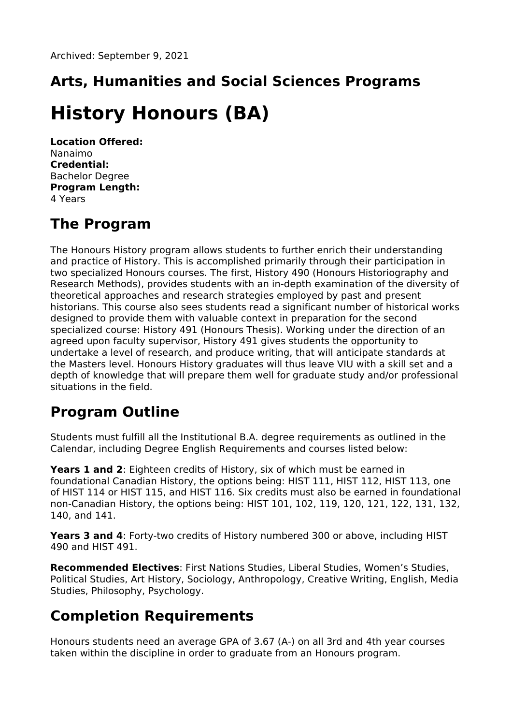# **Arts, Humanities and Social Sciences Programs**

# **History Honours (BA)**

**Location Offered:** Nanaimo **Credential:** Bachelor Degree **Program Length:** 4 Years

# **The Program**

The Honours History program allows students to further enrich their understanding and practice of History. This is accomplished primarily through their participation in two specialized Honours courses. The first, History 490 (Honours Historiography and Research Methods), provides students with an in-depth examination of the diversity of theoretical approaches and research strategies employed by past and present historians. This course also sees students read a significant number of historical works designed to provide them with valuable context in preparation for the second specialized course: History 491 (Honours Thesis). Working under the direction of an agreed upon faculty supervisor, History 491 gives students the opportunity to undertake a level of research, and produce writing, that will anticipate standards at the Masters level. Honours History graduates will thus leave VIU with a skill set and a depth of knowledge that will prepare them well for graduate study and/or professional situations in the field.

### **Program Outline**

Students must fulfill all the Institutional B.A. degree requirements as outlined in the Calendar, including Degree English Requirements and courses listed below:

**Years 1 and 2**: Eighteen credits of History, six of which must be earned in foundational Canadian History, the options being: HIST 111, HIST 112, HIST 113, one of HIST 114 or HIST 115, and HIST 116. Six credits must also be earned in foundational non-Canadian History, the options being: HIST 101, 102, 119, 120, 121, 122, 131, 132, 140, and 141.

**Years 3 and 4**: Forty-two credits of History numbered 300 or above, including HIST 490 and HIST 491.

**Recommended Electives**: First Nations Studies, Liberal Studies, Women's Studies, Political Studies, Art History, Sociology, Anthropology, Creative Writing, English, Media Studies, Philosophy, Psychology.

# **Completion Requirements**

Honours students need an average GPA of 3.67 (A-) on all 3rd and 4th year courses taken within the discipline in order to graduate from an Honours program.